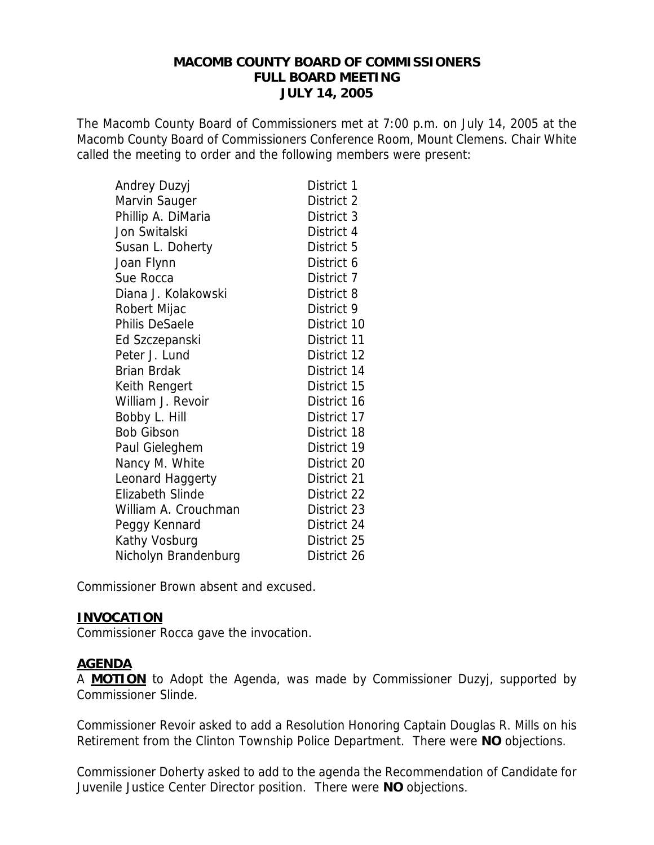#### **MACOMB COUNTY BOARD OF COMMISSIONERS FULL BOARD MEETING JULY 14, 2005**

The Macomb County Board of Commissioners met at 7:00 p.m. on July 14, 2005 at the Macomb County Board of Commissioners Conference Room, Mount Clemens. Chair White called the meeting to order and the following members were present:

| Andrey Duzyj            | District 1  |
|-------------------------|-------------|
| Marvin Sauger           | District 2  |
| Phillip A. DiMaria      | District 3  |
| Jon Switalski           | District 4  |
| Susan L. Doherty        | District 5  |
| Joan Flynn              | District 6  |
| Sue Rocca               | District 7  |
| Diana J. Kolakowski     | District 8  |
| Robert Mijac            | District 9  |
| Philis DeSaele          | District 10 |
| Ed Szczepanski          | District 11 |
| Peter J. Lund           | District 12 |
| <b>Brian Brdak</b>      | District 14 |
| Keith Rengert           | District 15 |
| William J. Revoir       | District 16 |
| Bobby L. Hill           | District 17 |
| <b>Bob Gibson</b>       | District 18 |
| Paul Gieleghem          | District 19 |
| Nancy M. White          | District 20 |
| Leonard Haggerty        | District 21 |
| <b>Elizabeth Slinde</b> | District 22 |
| William A. Crouchman    | District 23 |
| Peggy Kennard           | District 24 |
| Kathy Vosburg           | District 25 |
| Nicholyn Brandenburg    | District 26 |

Commissioner Brown absent and excused.

#### **INVOCATION**

Commissioner Rocca gave the invocation.

#### **AGENDA**

A **MOTION** to Adopt the Agenda, was made by Commissioner Duzyj, supported by Commissioner Slinde.

Commissioner Revoir asked to add a Resolution Honoring Captain Douglas R. Mills on his Retirement from the Clinton Township Police Department. There were **NO** objections.

Commissioner Doherty asked to add to the agenda the Recommendation of Candidate for Juvenile Justice Center Director position. There were **NO** objections.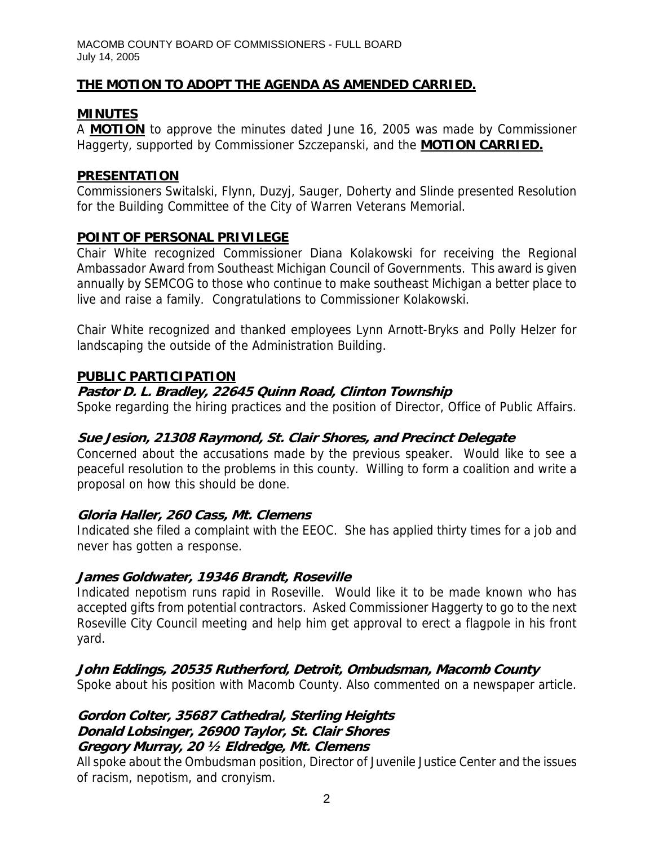# **THE MOTION TO ADOPT THE AGENDA AS AMENDED CARRIED.**

# **MINUTES**

A **MOTION** to approve the minutes dated June 16, 2005 was made by Commissioner Haggerty, supported by Commissioner Szczepanski, and the **MOTION CARRIED.**

#### **PRESENTATION**

Commissioners Switalski, Flynn, Duzyj, Sauger, Doherty and Slinde presented Resolution for the Building Committee of the City of Warren Veterans Memorial.

#### **POINT OF PERSONAL PRIVILEGE**

Chair White recognized Commissioner Diana Kolakowski for receiving the Regional Ambassador Award from Southeast Michigan Council of Governments. This award is given annually by SEMCOG to those who continue to make southeast Michigan a better place to live and raise a family. Congratulations to Commissioner Kolakowski.

Chair White recognized and thanked employees Lynn Arnott-Bryks and Polly Helzer for landscaping the outside of the Administration Building.

#### **PUBLIC PARTICIPATION**

#### **Pastor D. L. Bradley, 22645 Quinn Road, Clinton Township**

Spoke regarding the hiring practices and the position of Director, Office of Public Affairs.

# **Sue Jesion, 21308 Raymond, St. Clair Shores, and Precinct Delegate**

Concerned about the accusations made by the previous speaker. Would like to see a peaceful resolution to the problems in this county. Willing to form a coalition and write a proposal on how this should be done.

#### **Gloria Haller, 260 Cass, Mt. Clemens**

Indicated she filed a complaint with the EEOC. She has applied thirty times for a job and never has gotten a response.

#### **James Goldwater, 19346 Brandt, Roseville**

Indicated nepotism runs rapid in Roseville. Would like it to be made known who has accepted gifts from potential contractors. Asked Commissioner Haggerty to go to the next Roseville City Council meeting and help him get approval to erect a flagpole in his front yard.

# **John Eddings, 20535 Rutherford, Detroit, Ombudsman, Macomb County**

Spoke about his position with Macomb County. Also commented on a newspaper article.

#### **Gordon Colter, 35687 Cathedral, Sterling Heights Donald Lobsinger, 26900 Taylor, St. Clair Shores Gregory Murray, 20 ½ Eldredge, Mt. Clemens**

All spoke about the Ombudsman position, Director of Juvenile Justice Center and the issues of racism, nepotism, and cronyism.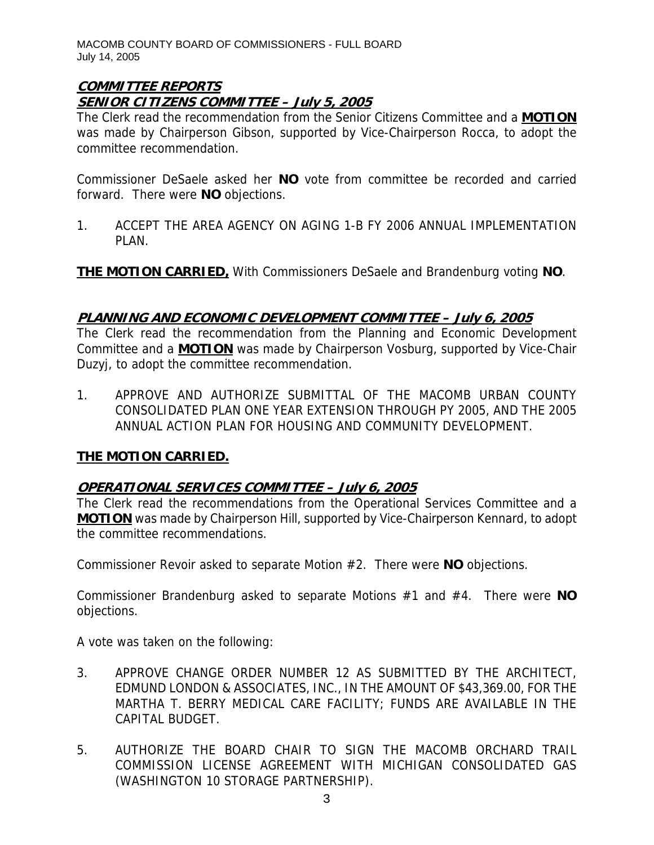#### **COMMITTEE REPORTS SENIOR CITIZENS COMMITTEE – July 5, 2005**

The Clerk read the recommendation from the Senior Citizens Committee and a **MOTION** was made by Chairperson Gibson, supported by Vice-Chairperson Rocca, to adopt the committee recommendation.

Commissioner DeSaele asked her **NO** vote from committee be recorded and carried forward. There were **NO** objections.

1. ACCEPT THE AREA AGENCY ON AGING 1-B FY 2006 ANNUAL IMPLEMENTATION PLAN.

**THE MOTION CARRIED,** With Commissioners DeSaele and Brandenburg voting **NO**.

# **PLANNING AND ECONOMIC DEVELOPMENT COMMITTEE – July 6, 2005**

The Clerk read the recommendation from the Planning and Economic Development Committee and a **MOTION** was made by Chairperson Vosburg, supported by Vice-Chair Duzyj, to adopt the committee recommendation.

1. APPROVE AND AUTHORIZE SUBMITTAL OF THE MACOMB URBAN COUNTY CONSOLIDATED PLAN ONE YEAR EXTENSION THROUGH PY 2005, AND THE 2005 ANNUAL ACTION PLAN FOR HOUSING AND COMMUNITY DEVELOPMENT.

# **THE MOTION CARRIED.**

# **OPERATIONAL SERVICES COMMITTEE – July 6, 2005**

The Clerk read the recommendations from the Operational Services Committee and a **MOTION** was made by Chairperson Hill, supported by Vice-Chairperson Kennard, to adopt the committee recommendations.

Commissioner Revoir asked to separate Motion #2. There were **NO** objections.

Commissioner Brandenburg asked to separate Motions #1 and #4. There were **NO** objections.

A vote was taken on the following:

- 3. APPROVE CHANGE ORDER NUMBER 12 AS SUBMITTED BY THE ARCHITECT, EDMUND LONDON & ASSOCIATES, INC., IN THE AMOUNT OF \$43,369.00, FOR THE MARTHA T. BERRY MEDICAL CARE FACILITY; FUNDS ARE AVAILABLE IN THE CAPITAL BUDGET.
- 5. AUTHORIZE THE BOARD CHAIR TO SIGN THE MACOMB ORCHARD TRAIL COMMISSION LICENSE AGREEMENT WITH MICHIGAN CONSOLIDATED GAS (WASHINGTON 10 STORAGE PARTNERSHIP).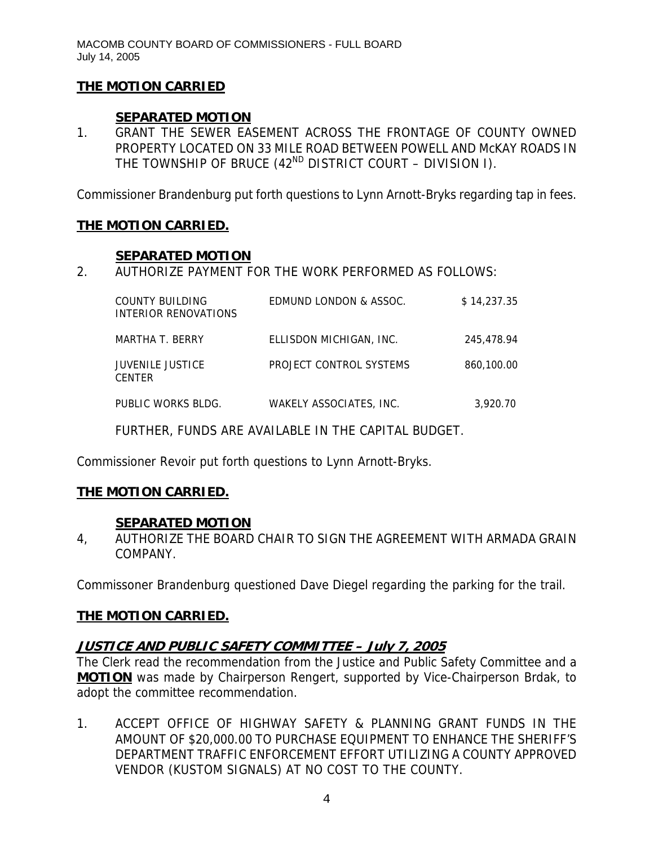# **THE MOTION CARRIED**

# **SEPARATED MOTION**

1. GRANT THE SEWER EASEMENT ACROSS THE FRONTAGE OF COUNTY OWNED PROPERTY LOCATED ON 33 MILE ROAD BETWEEN POWELL AND McKAY ROADS IN THE TOWNSHIP OF BRUCE  $(42^{ND}$  DISTRICT COURT – DIVISION I).

Commissioner Brandenburg put forth questions to Lynn Arnott-Bryks regarding tap in fees.

#### **THE MOTION CARRIED.**

#### **SEPARATED MOTION**

2. AUTHORIZE PAYMENT FOR THE WORK PERFORMED AS FOLLOWS:

| COUNTY BUILDING<br>INTERIOR RENOVATIONS  | EDMUND LONDON & ASSOC.  | \$14.237.35 |
|------------------------------------------|-------------------------|-------------|
| MARTHA T. BERRY                          | ELLISDON MICHIGAN, INC. | 245,478.94  |
| <b>JUVENILE JUSTICE</b><br><b>CENTER</b> | PROJECT CONTROL SYSTEMS | 860,100.00  |
| PUBLIC WORKS BLDG.                       | WAKELY ASSOCIATES, INC. | 3.920.70    |

FURTHER, FUNDS ARE AVAILABLE IN THE CAPITAL BUDGET.

Commissioner Revoir put forth questions to Lynn Arnott-Bryks.

# **THE MOTION CARRIED.**

# **SEPARATED MOTION**

4, AUTHORIZE THE BOARD CHAIR TO SIGN THE AGREEMENT WITH ARMADA GRAIN COMPANY.

Commissoner Brandenburg questioned Dave Diegel regarding the parking for the trail.

# **THE MOTION CARRIED.**

# **JUSTICE AND PUBLIC SAFETY COMMITTEE – July 7, 2005**

The Clerk read the recommendation from the Justice and Public Safety Committee and a **MOTION** was made by Chairperson Rengert, supported by Vice-Chairperson Brdak, to adopt the committee recommendation.

1. ACCEPT OFFICE OF HIGHWAY SAFETY & PLANNING GRANT FUNDS IN THE AMOUNT OF \$20,000.00 TO PURCHASE EQUIPMENT TO ENHANCE THE SHERIFF'S DEPARTMENT TRAFFIC ENFORCEMENT EFFORT UTILIZING A COUNTY APPROVED VENDOR (KUSTOM SIGNALS) AT NO COST TO THE COUNTY.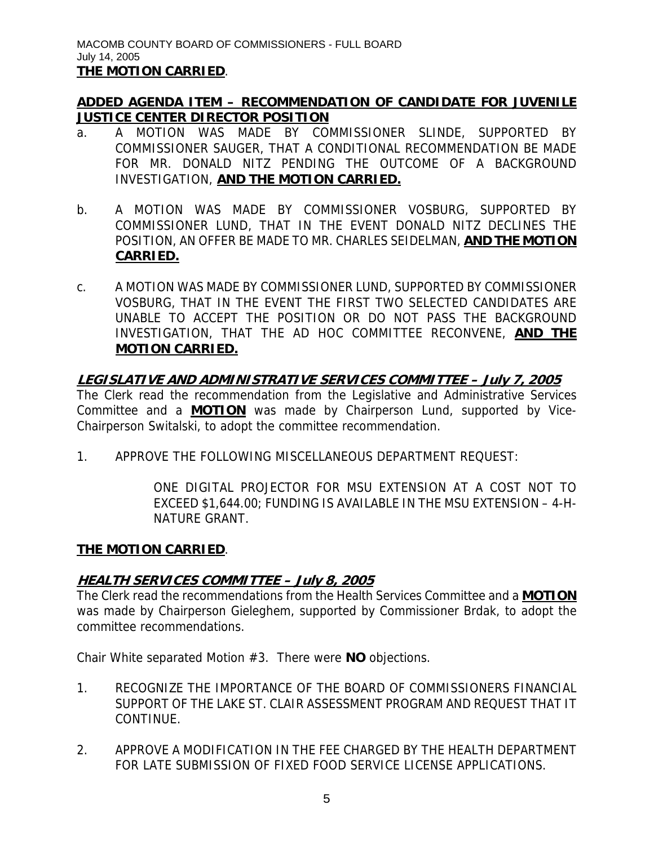# **ADDED AGENDA ITEM – RECOMMENDATION OF CANDIDATE FOR JUVENILE JUSTICE CENTER DIRECTOR POSITION**

- a. A MOTION WAS MADE BY COMMISSIONER SLINDE, SUPPORTED BY COMMISSIONER SAUGER, THAT A CONDITIONAL RECOMMENDATION BE MADE FOR MR. DONALD NITZ PENDING THE OUTCOME OF A BACKGROUND INVESTIGATION, **AND THE MOTION CARRIED.**
- b. A MOTION WAS MADE BY COMMISSIONER VOSBURG, SUPPORTED BY COMMISSIONER LUND, THAT IN THE EVENT DONALD NITZ DECLINES THE POSITION, AN OFFER BE MADE TO MR. CHARLES SEIDELMAN, **AND THE MOTION CARRIED.**
- c. A MOTION WAS MADE BY COMMISSIONER LUND, SUPPORTED BY COMMISSIONER VOSBURG, THAT IN THE EVENT THE FIRST TWO SELECTED CANDIDATES ARE UNABLE TO ACCEPT THE POSITION OR DO NOT PASS THE BACKGROUND INVESTIGATION, THAT THE AD HOC COMMITTEE RECONVENE, **AND THE MOTION CARRIED.**

#### **LEGISLATIVE AND ADMINISTRATIVE SERVICES COMMITTEE – July 7, 2005** The Clerk read the recommendation from the Legislative and Administrative Services

Committee and a **MOTION** was made by Chairperson Lund, supported by Vice-Chairperson Switalski, to adopt the committee recommendation.

1. APPROVE THE FOLLOWING MISCELLANEOUS DEPARTMENT REQUEST:

ONE DIGITAL PROJECTOR FOR MSU EXTENSION AT A COST NOT TO EXCEED \$1,644.00; FUNDING IS AVAILABLE IN THE MSU EXTENSION – 4-H-NATURE GRANT.

# **THE MOTION CARRIED**.

# **HEALTH SERVICES COMMITTEE – July 8, 2005**

The Clerk read the recommendations from the Health Services Committee and a **MOTION** was made by Chairperson Gieleghem, supported by Commissioner Brdak, to adopt the committee recommendations.

Chair White separated Motion #3. There were **NO** objections.

- 1. RECOGNIZE THE IMPORTANCE OF THE BOARD OF COMMISSIONERS FINANCIAL SUPPORT OF THE LAKE ST. CLAIR ASSESSMENT PROGRAM AND REQUEST THAT IT CONTINUE.
- 2. APPROVE A MODIFICATION IN THE FEE CHARGED BY THE HEALTH DEPARTMENT FOR LATE SUBMISSION OF FIXED FOOD SERVICE LICENSE APPLICATIONS.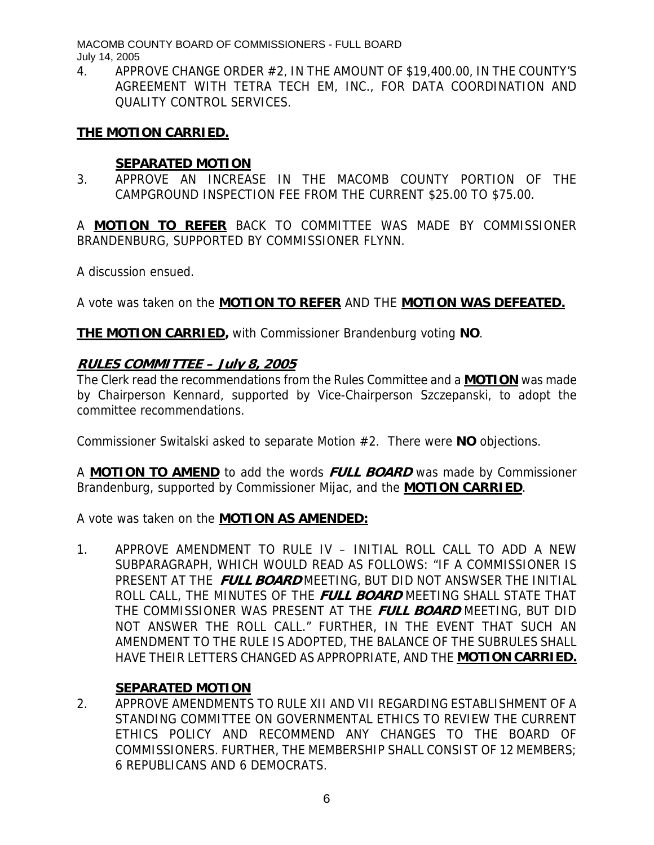4. APPROVE CHANGE ORDER #2, IN THE AMOUNT OF \$19,400.00, IN THE COUNTY'S AGREEMENT WITH TETRA TECH EM, INC., FOR DATA COORDINATION AND QUALITY CONTROL SERVICES.

#### **THE MOTION CARRIED.**

#### **SEPARATED MOTION**

3. APPROVE AN INCREASE IN THE MACOMB COUNTY PORTION OF THE CAMPGROUND INSPECTION FEE FROM THE CURRENT \$25.00 TO \$75.00.

A **MOTION TO REFER** BACK TO COMMITTEE WAS MADE BY COMMISSIONER BRANDENBURG, SUPPORTED BY COMMISSIONER FLYNN.

A discussion ensued.

A vote was taken on the **MOTION TO REFER** AND THE **MOTION WAS DEFEATED.**

**THE MOTION CARRIED,** with Commissioner Brandenburg voting **NO**.

#### **RULES COMMITTEE – July 8, 2005**

The Clerk read the recommendations from the Rules Committee and a **MOTION** was made by Chairperson Kennard, supported by Vice-Chairperson Szczepanski, to adopt the committee recommendations.

Commissioner Switalski asked to separate Motion #2. There were **NO** objections.

A **MOTION TO AMEND** to add the words **FULL BOARD** was made by Commissioner Brandenburg, supported by Commissioner Mijac, and the **MOTION CARRIED**.

A vote was taken on the **MOTION AS AMENDED:**

1. APPROVE AMENDMENT TO RULE IV – INITIAL ROLL CALL TO ADD A NEW SUBPARAGRAPH, WHICH WOULD READ AS FOLLOWS: "IF A COMMISSIONER IS PRESENT AT THE **FULL BOARD** MEETING, BUT DID NOT ANSWSER THE INITIAL ROLL CALL, THE MINUTES OF THE **FULL BOARD** MEETING SHALL STATE THAT THE COMMISSIONER WAS PRESENT AT THE **FULL BOARD** MEETING, BUT DID NOT ANSWER THE ROLL CALL." FURTHER, IN THE EVENT THAT SUCH AN AMENDMENT TO THE RULE IS ADOPTED, THE BALANCE OF THE SUBRULES SHALL HAVE THEIR LETTERS CHANGED AS APPROPRIATE, AND THE **MOTION CARRIED.**

# **SEPARATED MOTION**

2. APPROVE AMENDMENTS TO RULE XII AND VII REGARDING ESTABLISHMENT OF A STANDING COMMITTEE ON GOVERNMENTAL ETHICS TO REVIEW THE CURRENT ETHICS POLICY AND RECOMMEND ANY CHANGES TO THE BOARD OF COMMISSIONERS. FURTHER, THE MEMBERSHIP SHALL CONSIST OF 12 MEMBERS; 6 REPUBLICANS AND 6 DEMOCRATS.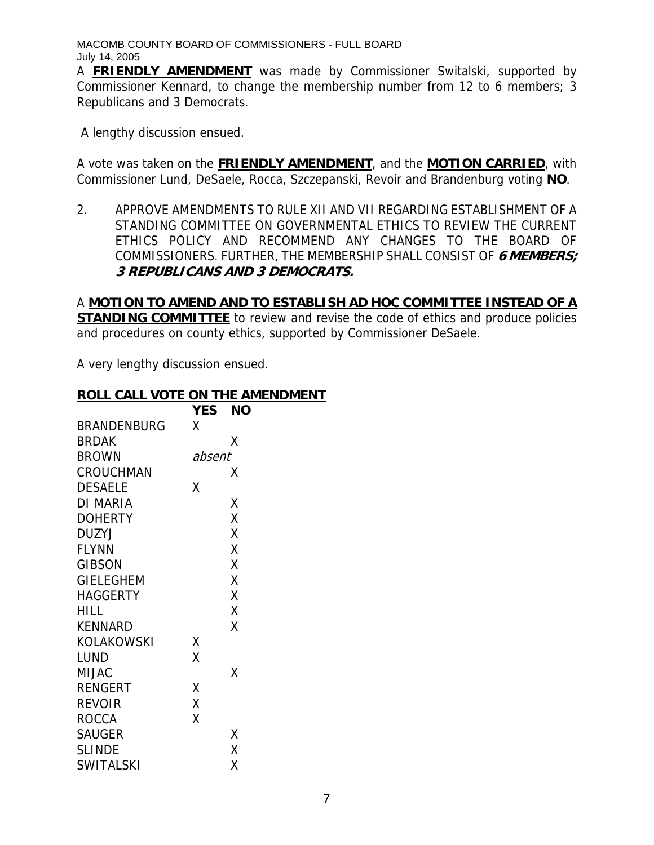A **FRIENDLY AMENDMENT** was made by Commissioner Switalski, supported by Commissioner Kennard, to change the membership number from 12 to 6 members; 3 Republicans and 3 Democrats.

A lengthy discussion ensued.

A vote was taken on the **FRIENDLY AMENDMENT**, and the **MOTION CARRIED**, with Commissioner Lund, DeSaele, Rocca, Szczepanski, Revoir and Brandenburg voting **NO**.

2. APPROVE AMENDMENTS TO RULE XII AND VII REGARDING ESTABLISHMENT OF A STANDING COMMITTEE ON GOVERNMENTAL ETHICS TO REVIEW THE CURRENT ETHICS POLICY AND RECOMMEND ANY CHANGES TO THE BOARD OF COMMISSIONERS. FURTHER, THE MEMBERSHIP SHALL CONSIST OF **6 MEMBERS; 3 REPUBLICANS AND 3 DEMOCRATS.** 

# A **MOTION TO AMEND AND TO ESTABLISH AD HOC COMMITTEE INSTEAD OF A STANDING COMMITTEE** to review and revise the code of ethics and produce policies and procedures on county ethics, supported by Commissioner DeSaele.

A very lengthy discussion ensued.

#### **ROLL CALL VOTE ON THE AMENDMENT**

|                    | <b>YES</b> | NΟ |
|--------------------|------------|----|
| <b>BRANDENBURG</b> | χ          |    |
| <b>BRDAK</b>       |            | Χ  |
| <b>BROWN</b>       | absent     |    |
| CROUCHMAN          |            | x  |
| <b>DESAELE</b>     | Χ          |    |
| DI MARIA           |            | Χ  |
| <b>DOHERTY</b>     |            | X  |
| <b>DUZYJ</b>       |            | X  |
| <b>FLYNN</b>       |            | X  |
| <b>GIBSON</b>      |            | X  |
| <b>GIELEGHEM</b>   |            | X  |
| <b>HAGGERTY</b>    |            | X  |
| <b>HILL</b>        |            | X  |
| <b>KENNARD</b>     |            | Χ  |
| <b>KOLAKOWSKI</b>  | Χ          |    |
| LUND               | X          |    |
| <b>MIJAC</b>       |            | Χ  |
| <b>RENGERT</b>     | Χ          |    |
| <b>REVOIR</b>      | X          |    |
| <b>ROCCA</b>       | Χ          |    |
| <b>SAUGER</b>      |            | χ  |
| <b>SLINDE</b>      |            | X  |
| <b>SWITALSKI</b>   |            | Χ  |
|                    |            |    |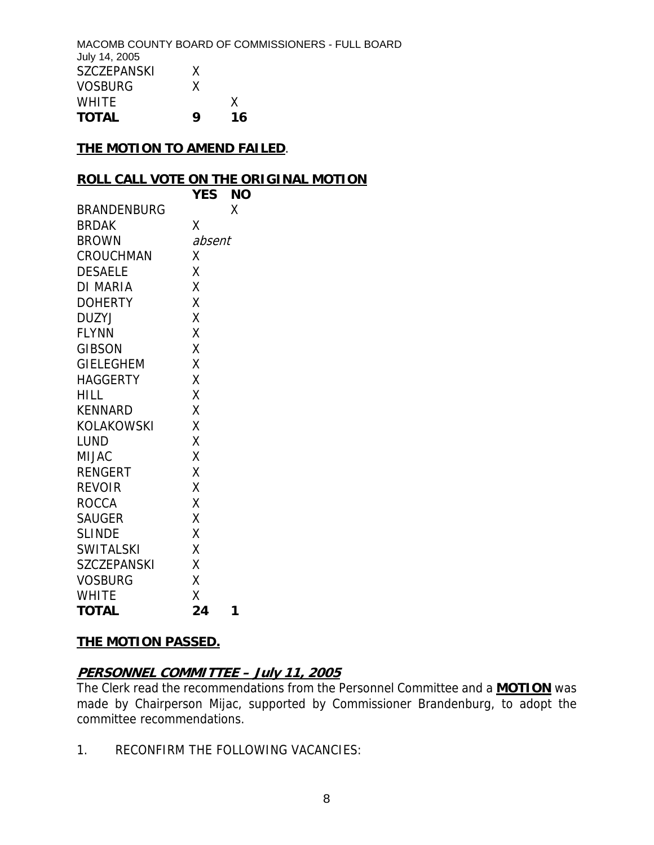MACOMB COUNTY BOARD OF COMMISSIONERS - FULL BOARD July 14, 2005 SZCZEPANSKI X VOSBURG X WHITE X **TOTAL 9 16** 

#### **THE MOTION TO AMEND FAILED**.

#### **ROLL CALL VOTE ON THE ORIGINAL MOTION**

|                    | <b>YES</b> | ΝO |
|--------------------|------------|----|
| <b>BRANDENBURG</b> |            | X  |
| <b>BRDAK</b>       | Χ          |    |
| <b>BROWN</b>       | absent     |    |
| CROUCHMAN          | Χ          |    |
| <b>DESAELE</b>     | Χ          |    |
| DI MARIA           | X          |    |
| <b>DOHERTY</b>     | X          |    |
| DUZYJ              | Χ          |    |
| <b>FLYNN</b>       | X          |    |
| <b>GIBSON</b>      | X          |    |
| <b>GIELEGHEM</b>   | X          |    |
| HAGGERTY           | X          |    |
| HILL               | X          |    |
| KENNARD            | X          |    |
| KOLAKOWSKI         | X          |    |
| LUND               | Χ          |    |
| MIJAC              | X          |    |
| <b>RENGERT</b>     | X          |    |
| <b>REVOIR</b>      | X          |    |
| <b>ROCCA</b>       | X          |    |
| <b>SAUGER</b>      | Χ          |    |
| <b>SLINDE</b>      | X          |    |
| <b>SWITALSKI</b>   | X          |    |
| <b>SZCZEPANSKI</b> | X          |    |
| <b>VOSBURG</b>     | Χ          |    |
| <b>WHITE</b>       | Χ          |    |
| <b>TOTAL</b>       | 24         | 1  |

#### **THE MOTION PASSED.**

#### **PERSONNEL COMMITTEE – July 11, 2005**

The Clerk read the recommendations from the Personnel Committee and a **MOTION** was made by Chairperson Mijac, supported by Commissioner Brandenburg, to adopt the committee recommendations.

1. RECONFIRM THE FOLLOWING VACANCIES: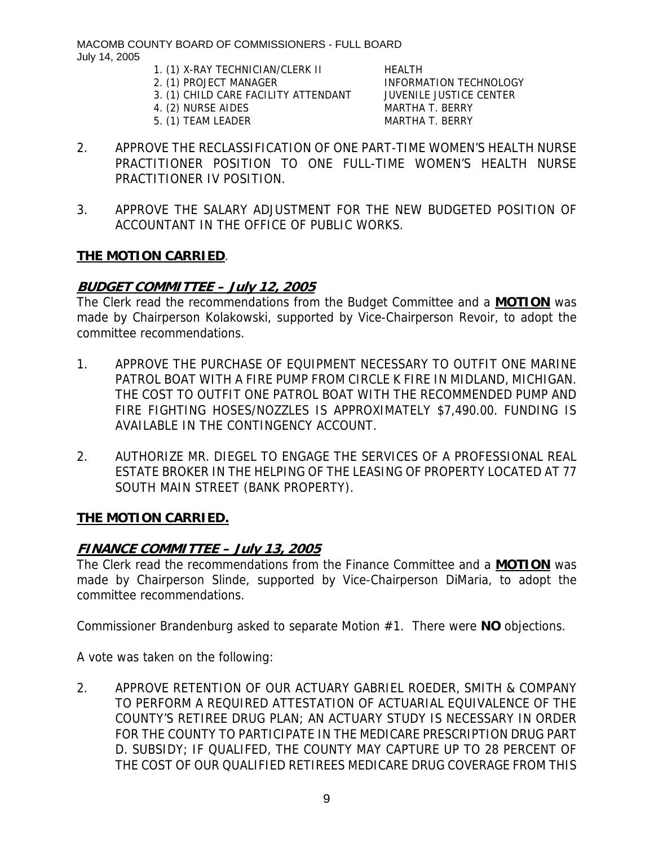1. (1) X-RAY TECHNICIAN/CLERK II HEALTH

- 3. (1) CHILD CARE FACILITY ATTENDANT JUVENILE JUSTICE CENTER
- 4. (2) NURSE AIDES MARTHA T. BERRY
- 5. (1) TEAM LEADER MARTHA T. BERRY

2. (1) PROJECT MANAGER INFORMATION TECHNOLOGY

- 2. APPROVE THE RECLASSIFICATION OF ONE PART-TIME WOMEN'S HEALTH NURSE PRACTITIONER POSITION TO ONE FULL-TIME WOMEN'S HEALTH NURSE PRACTITIONER IV POSITION.
- 3. APPROVE THE SALARY ADJUSTMENT FOR THE NEW BUDGETED POSITION OF ACCOUNTANT IN THE OFFICE OF PUBLIC WORKS.

#### **THE MOTION CARRIED**.

# **BUDGET COMMITTEE – July 12, 2005**

The Clerk read the recommendations from the Budget Committee and a **MOTION** was made by Chairperson Kolakowski, supported by Vice-Chairperson Revoir, to adopt the committee recommendations.

- 1. APPROVE THE PURCHASE OF EQUIPMENT NECESSARY TO OUTFIT ONE MARINE PATROL BOAT WITH A FIRE PUMP FROM CIRCLE K FIRE IN MIDLAND, MICHIGAN. THE COST TO OUTFIT ONE PATROL BOAT WITH THE RECOMMENDED PUMP AND FIRE FIGHTING HOSES/NOZZLES IS APPROXIMATELY \$7,490.00. FUNDING IS AVAILABLE IN THE CONTINGENCY ACCOUNT.
- 2. AUTHORIZE MR. DIEGEL TO ENGAGE THE SERVICES OF A PROFESSIONAL REAL ESTATE BROKER IN THE HELPING OF THE LEASING OF PROPERTY LOCATED AT 77 SOUTH MAIN STREET (BANK PROPERTY).

# **THE MOTION CARRIED.**

# **FINANCE COMMITTEE – July 13, 2005**

The Clerk read the recommendations from the Finance Committee and a **MOTION** was made by Chairperson Slinde, supported by Vice-Chairperson DiMaria, to adopt the committee recommendations.

Commissioner Brandenburg asked to separate Motion #1. There were **NO** objections.

A vote was taken on the following:

2. APPROVE RETENTION OF OUR ACTUARY GABRIEL ROEDER, SMITH & COMPANY TO PERFORM A REQUIRED ATTESTATION OF ACTUARIAL EQUIVALENCE OF THE COUNTY'S RETIREE DRUG PLAN; AN ACTUARY STUDY IS NECESSARY IN ORDER FOR THE COUNTY TO PARTICIPATE IN THE MEDICARE PRESCRIPTION DRUG PART D. SUBSIDY; IF QUALIFED, THE COUNTY MAY CAPTURE UP TO 28 PERCENT OF THE COST OF OUR QUALIFIED RETIREES MEDICARE DRUG COVERAGE FROM THIS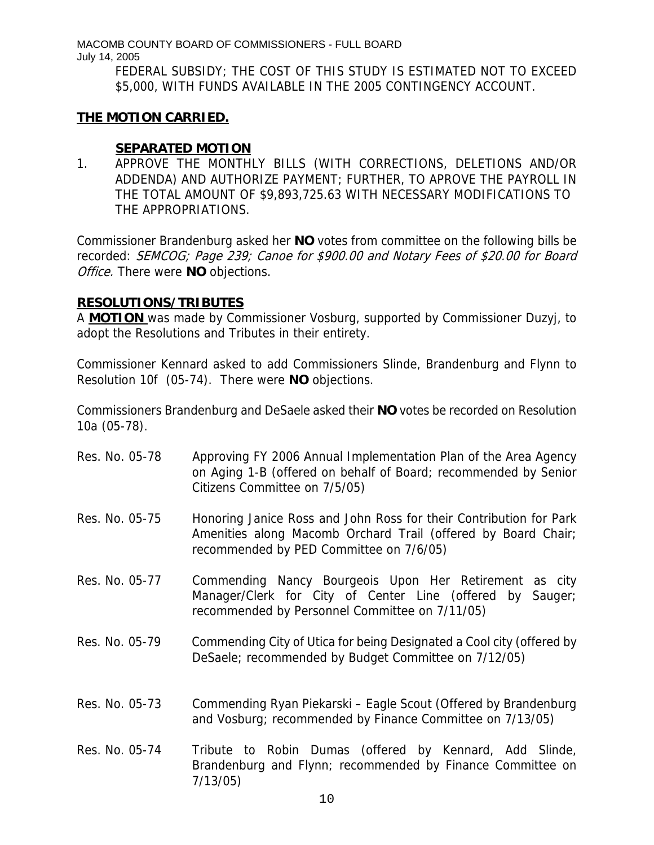> FEDERAL SUBSIDY; THE COST OF THIS STUDY IS ESTIMATED NOT TO EXCEED \$5,000, WITH FUNDS AVAILABLE IN THE 2005 CONTINGENCY ACCOUNT.

#### **THE MOTION CARRIED.**

#### **SEPARATED MOTION**

1. APPROVE THE MONTHLY BILLS (WITH CORRECTIONS, DELETIONS AND/OR ADDENDA) AND AUTHORIZE PAYMENT; FURTHER, TO APROVE THE PAYROLL IN THE TOTAL AMOUNT OF \$9,893,725.63 WITH NECESSARY MODIFICATIONS TO THE APPROPRIATIONS.

Commissioner Brandenburg asked her **NO** votes from committee on the following bills be recorded: SEMCOG; Page 239; Canoe for \$900.00 and Notary Fees of \$20.00 for Board Office. There were **NO** objections.

#### **RESOLUTIONS/TRIBUTES**

A **MOTION** was made by Commissioner Vosburg, supported by Commissioner Duzyj, to adopt the Resolutions and Tributes in their entirety.

Commissioner Kennard asked to add Commissioners Slinde, Brandenburg and Flynn to Resolution 10f (05-74). There were **NO** objections.

Commissioners Brandenburg and DeSaele asked their **NO** votes be recorded on Resolution 10a (05-78).

10 Res. No. 05-78 Approving FY 2006 Annual Implementation Plan of the Area Agency on Aging 1-B (offered on behalf of Board; recommended by Senior Citizens Committee on 7/5/05) Res. No. 05-75 Honoring Janice Ross and John Ross for their Contribution for Park Amenities along Macomb Orchard Trail (offered by Board Chair; recommended by PED Committee on 7/6/05) Res. No. 05-77 Commending Nancy Bourgeois Upon Her Retirement as city Manager/Clerk for City of Center Line (offered by Sauger; recommended by Personnel Committee on 7/11/05) Res. No. 05-79 Commending City of Utica for being Designated a Cool city (offered by DeSaele; recommended by Budget Committee on 7/12/05) Res. No. 05-73 Commending Ryan Piekarski – Eagle Scout (Offered by Brandenburg and Vosburg; recommended by Finance Committee on 7/13/05) Res. No. 05-74 Tribute to Robin Dumas (offered by Kennard, Add Slinde, Brandenburg and Flynn; recommended by Finance Committee on 7/13/05)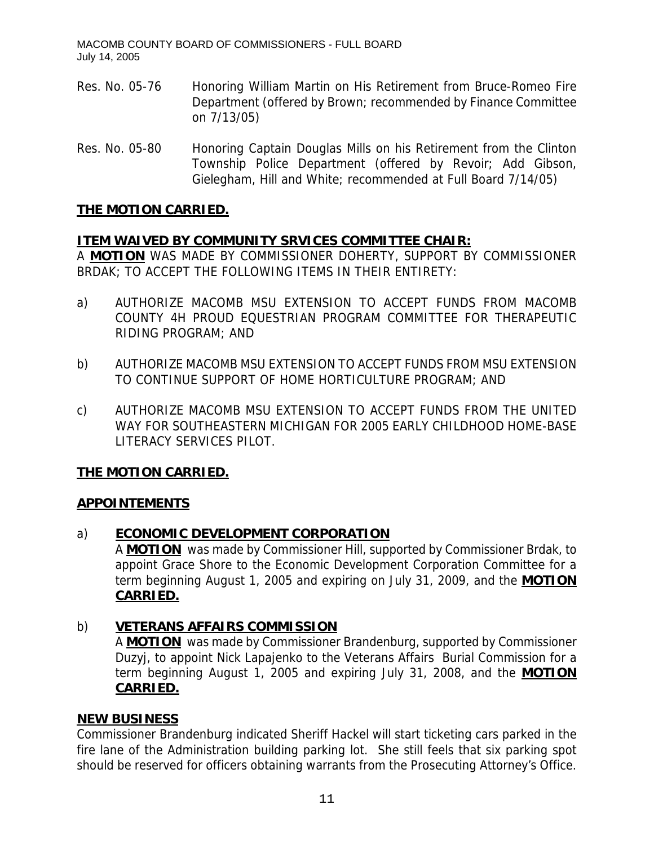- Res. No. 05-76 Honoring William Martin on His Retirement from Bruce-Romeo Fire Department (offered by Brown; recommended by Finance Committee on 7/13/05)
- Res. No. 05-80 Honoring Captain Douglas Mills on his Retirement from the Clinton Township Police Department (offered by Revoir; Add Gibson, Gielegham, Hill and White; recommended at Full Board 7/14/05)

# **THE MOTION CARRIED.**

# **ITEM WAIVED BY COMMUNITY SRVICES COMMITTEE CHAIR:**

A **MOTION** WAS MADE BY COMMISSIONER DOHERTY, SUPPORT BY COMMISSIONER BRDAK; TO ACCEPT THE FOLLOWING ITEMS IN THEIR ENTIRETY:

- a) AUTHORIZE MACOMB MSU EXTENSION TO ACCEPT FUNDS FROM MACOMB COUNTY 4H PROUD EQUESTRIAN PROGRAM COMMITTEE FOR THERAPEUTIC RIDING PROGRAM; AND
- b) AUTHORIZE MACOMB MSU EXTENSION TO ACCEPT FUNDS FROM MSU EXTENSION TO CONTINUE SUPPORT OF HOME HORTICULTURE PROGRAM; AND
- c) AUTHORIZE MACOMB MSU EXTENSION TO ACCEPT FUNDS FROM THE UNITED WAY FOR SOUTHEASTERN MICHIGAN FOR 2005 EARLY CHILDHOOD HOME-BASE LITERACY SERVICES PILOT.

# **THE MOTION CARRIED.**

#### **APPOINTEMENTS**

# a) **ECONOMIC DEVELOPMENT CORPORATION**

A **MOTION** was made by Commissioner Hill, supported by Commissioner Brdak, to appoint Grace Shore to the Economic Development Corporation Committee for a term beginning August 1, 2005 and expiring on July 31, 2009, and the **MOTION CARRIED.**

# b) **VETERANS AFFAIRS COMMISSION**

A **MOTION** was made by Commissioner Brandenburg, supported by Commissioner Duzyj, to appoint Nick Lapajenko to the Veterans Affairs Burial Commission for a term beginning August 1, 2005 and expiring July 31, 2008, and the **MOTION CARRIED.**

#### **NEW BUSINESS**

Commissioner Brandenburg indicated Sheriff Hackel will start ticketing cars parked in the fire lane of the Administration building parking lot. She still feels that six parking spot should be reserved for officers obtaining warrants from the Prosecuting Attorney's Office.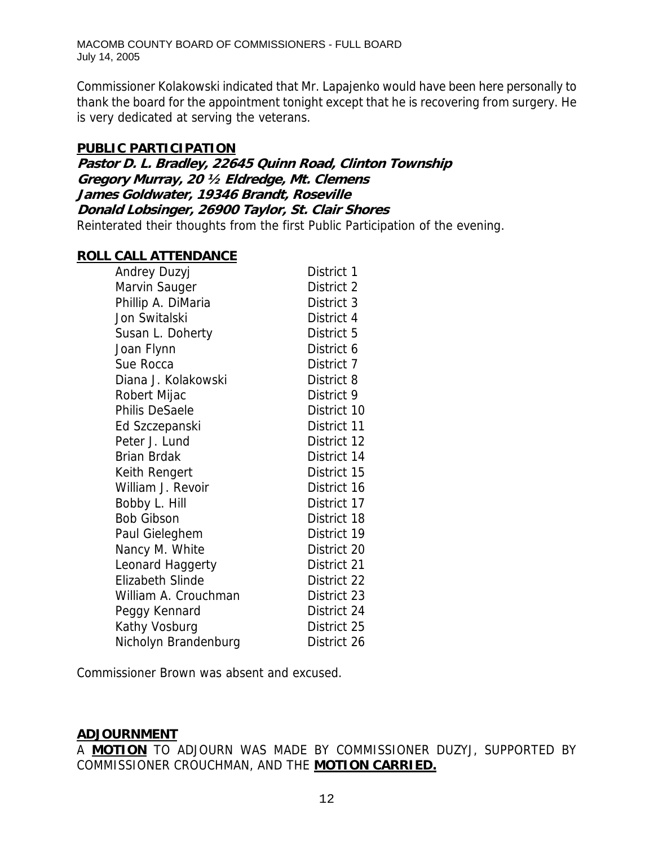Commissioner Kolakowski indicated that Mr. Lapajenko would have been here personally to thank the board for the appointment tonight except that he is recovering from surgery. He is very dedicated at serving the veterans.

#### **PUBLIC PARTICIPATION**

**Pastor D. L. Bradley, 22645 Quinn Road, Clinton Township Gregory Murray, 20 ½ Eldredge, Mt. Clemens James Goldwater, 19346 Brandt, Roseville Donald Lobsinger, 26900 Taylor, St. Clair Shores**  Reinterated their thoughts from the first Public Participation of the evening.

#### **ROLL CALL ATTENDANCE**

| Andrey Duzyj            | District 1  |
|-------------------------|-------------|
| Marvin Sauger           | District 2  |
| Phillip A. DiMaria      | District 3  |
| Jon Switalski           | District 4  |
| Susan L. Doherty        | District 5  |
| Joan Flynn              | District 6  |
| Sue Rocca               | District 7  |
| Diana J. Kolakowski     | District 8  |
| Robert Mijac            | District 9  |
| Philis DeSaele          | District 10 |
| Ed Szczepanski          | District 11 |
| Peter J. Lund           | District 12 |
| <b>Brian Brdak</b>      | District 14 |
| Keith Rengert           | District 15 |
| William J. Revoir       | District 16 |
| Bobby L. Hill           | District 17 |
| <b>Bob Gibson</b>       | District 18 |
| Paul Gieleghem          | District 19 |
| Nancy M. White          | District 20 |
| Leonard Haggerty        | District 21 |
| <b>Elizabeth Slinde</b> | District 22 |
| William A. Crouchman    | District 23 |
| Peggy Kennard           | District 24 |
| Kathy Vosburg           | District 25 |
| Nicholyn Brandenburg    | District 26 |

Commissioner Brown was absent and excused.

# **ADJOURNMENT**

A **MOTION** TO ADJOURN WAS MADE BY COMMISSIONER DUZYJ, SUPPORTED BY COMMISSIONER CROUCHMAN, AND THE **MOTION CARRIED.**